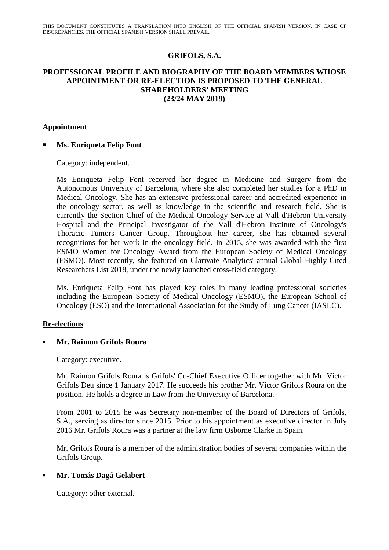# **GRIFOLS, S.A.**

## **PROFESSIONAL PROFILE AND BIOGRAPHY OF THE BOARD MEMBERS WHOSE APPOINTMENT OR RE-ELECTION IS PROPOSED TO THE GENERAL SHAREHOLDERS' MEETING (23/24 MAY 2019)**

### **Appointment**

## **Ms. Enriqueta Felip Font**

Category: independent.

Ms Enriqueta Felip Font received her degree in Medicine and Surgery from the Autonomous University of Barcelona, where she also completed her studies for a PhD in Medical Oncology. She has an extensive professional career and accredited experience in the oncology sector, as well as knowledge in the scientific and research field. She is currently the Section Chief of the Medical Oncology Service at Vall d'Hebron University Hospital and the Principal Investigator of the Vall d'Hebron Institute of Oncology's Thoracic Tumors Cancer Group. Throughout her career, she has obtained several recognitions for her work in the oncology field. In 2015, she was awarded with the first ESMO Women for Oncology Award from the European Society of Medical Oncology (ESMO). Most recently, she featured on Clarivate Analytics' annual Global Highly Cited Researchers List 2018, under the newly launched cross-field category.

Ms. Enriqueta Felip Font has played key roles in many leading professional societies including the European Society of Medical Oncology (ESMO), the European School of Oncology (ESO) and the International Association for the Study of Lung Cancer (IASLC).

#### **Re-elections**

## **Mr. Raimon Grifols Roura**

Category: executive.

Mr. Raimon Grifols Roura is Grifols' Co-Chief Executive Officer together with Mr. Victor Grifols Deu since 1 January 2017. He succeeds his brother Mr. Victor Grifols Roura on the position. He holds a degree in Law from the University of Barcelona.

From 2001 to 2015 he was Secretary non-member of the Board of Directors of Grifols, S.A., serving as director since 2015. Prior to his appointment as executive director in July 2016 Mr. Grifols Roura was a partner at the law firm Osborne Clarke in Spain.

Mr. Grifols Roura is a member of the administration bodies of several companies within the Grifols Group.

## **Mr. Tomás Dagá Gelabert**

Category: other external.